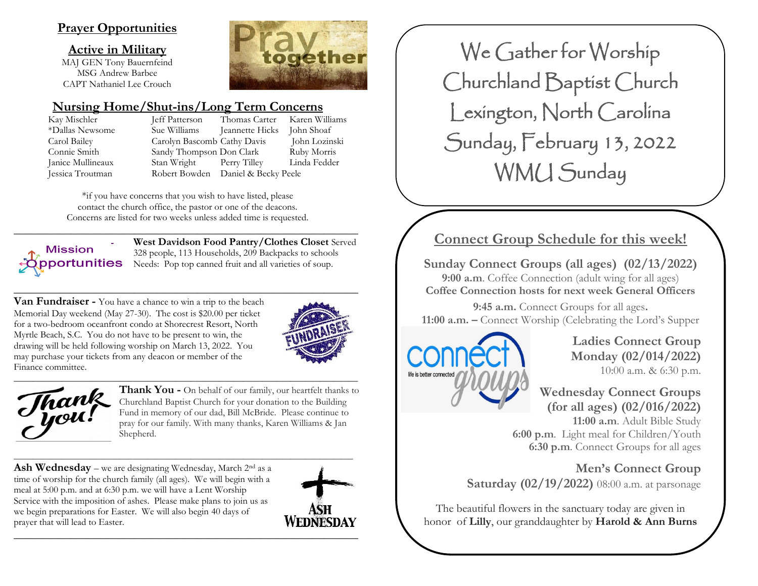# **Prayer Opportunities**

**Active in Military**

MAJ GEN Tony Bauernfeind MSG Andrew Barbee CAPT Nathaniel Lee Crouch

# **Nursing Home/Shut-ins/Long Term Concerns**

Kay Mischler Jeff Patterson Thomas Carter Karen Williams \*Dallas Newsome Sue Williams Jeannette Hicks John Shoaf Carol Bailey Carolyn Bascomb Cathy Davis John Lozinski Connie Smith Sandy Thompson Don Clark Ruby Morris Janice Mullineaux Stan Wright Perry Tilley Linda Fedder Jessica Troutman Robert Bowden Daniel & Becky Peele

ogether

\*if you have concerns that you wish to have listed, please contact the church office, the pastor or one of the deacons. Concerns are listed for two weeks unless added time is requested.

**Mission** pportunities

**\_\_\_\_\_\_\_\_\_\_\_\_\_\_\_\_\_\_\_\_\_\_\_\_\_\_\_\_\_\_\_\_\_\_\_\_\_\_\_\_\_\_\_\_\_\_\_\_\_\_\_\_\_\_\_\_\_\_\_\_ West Davidson Food Pantry/Clothes Closet** Served 328 people, 113 Households, 209 Backpacks to schools Needs: Pop top canned fruit and all varieties of soup.

**Van Fundraiser -** You have a chance to win a trip to the beach Memorial Day weekend (May 27-30). The cost is \$20.00 per ticket for a two-bedroom oceanfront condo at Shorecrest Resort, North Myrtle Beach, S.C. You do not have to be present to win, the drawing will be held following worship on March 13, 2022. You may purchase your tickets from any deacon or member of the Finance committee.



 $\_$  , and the set of the set of the set of the set of the set of the set of the set of the set of the set of the set of the set of the set of the set of the set of the set of the set of the set of the set of the set of th Thank<br>Jou!

**Thank You -** On behalf of our family, our heartfelt thanks to Churchland Baptist Church for your donation to the Building Fund in memory of our dad, Bill McBride. Please continue to pray for our family. With many thanks, Karen Williams & Jan Shepherd.

Ash Wednesday – we are designating Wednesday, March 2<sup>nd</sup> as a time of worship for the church family (all ages). We will begin with a meal at 5:00 p.m. and at 6:30 p.m. we will have a Lent Worship Service with the imposition of ashes. Please make plans to join us as we begin preparations for Easter. We will also begin 40 days of prayer that will lead to Easter.

\_\_\_\_\_\_\_\_\_\_\_\_\_\_\_\_\_\_\_\_\_\_\_\_\_\_\_\_\_\_\_\_\_\_\_\_\_\_\_\_\_\_\_\_\_\_\_\_\_\_\_\_\_\_\_\_\_\_\_\_\_\_\_\_\_\_\_\_\_\_\_



 Churchland Baptist Church Lexington, North Carolina We Gather for Worship Sunday, February 13, 2022 WMU Sunday

# **Connect Group Schedule for this week!**

**Sunday Connect Groups (all ages) (02/13/2022) 9:00 a.m**. Coffee Connection (adult wing for all ages) **Coffee Connection hosts for next week General Officers**

**9:45 a.m.** Connect Groups for all ages**. 11:00 a.m. –** Connect Worship (Celebrating the Lord's Supper



**Ladies Connect Group Monday (02/014/2022)** 10:00 a.m. & 6:30 p.m.

# **Wednesday Connect Groups (for all ages) (02/016/2022)**

**11:00 a.m**. Adult Bible Study **6:00 p.m**. Light meal for Children/Youth **6:30 p.m**. Connect Groups for all ages

**Men's Connect Group Saturday (02/19/2022)** 08:00 a.m. at parsonage

The beautiful flowers in the sanctuary today are given in honor of **Lilly**, our granddaughter by **Harold & Ann Burns**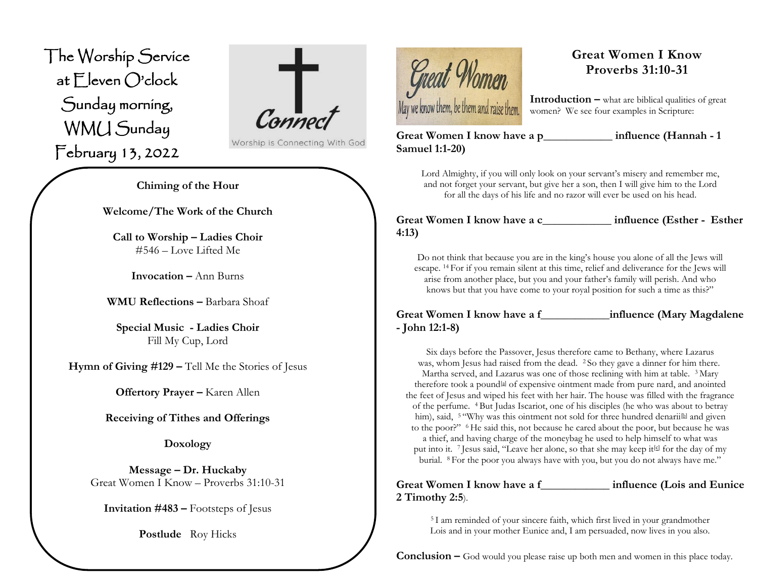The Worship Service at Eleven O'clock Sunday morning, WMU Sunday February 13, 2022 ֦

 $\int_{\mathcal{C}}$ 

Worship is Connecting With God

**Chiming of the Hour**

**Welcome/The Work of the Church**

**Call to Worship – Ladies Choir** #546 – Love Lifted Me

**Invocation –** Ann Burns

**WMU Reflections –** Barbara Shoaf

**Special Music - Ladies Choir** Fill My Cup, Lord

**Hymn of Giving #129 –** Tell Me the Stories of Jesus

**Offertory Prayer –** Karen Allen

**Receiving of Tithes and Offerings**

**Doxology**

**Message – Dr. Huckaby** Great Women I Know – Proverbs 31:10-31

**Invitation #483 –** Footsteps of Jesus

**Postlude** Roy Hicks



# **Great Women I Know Proverbs 31:10-31**

**Introduction –** what are biblical qualities of great women? We see four examples in Scripture:

**Great Women I know have a p\_\_\_\_\_\_\_\_\_\_\_\_ influence (Hannah - 1 Samuel 1:1-20)** 

Lord Almighty, if you will only look on your servant's misery and remember me, and not forget your servant, but give her a son, then I will give him to the Lord for all the days of his life and no razor will ever be used on his head.

Great Women I know have a c computed influence (Esther - Esther **4:13)**

Do not think that because you are in the king's house you alone of all the Jews will escape. <sup>14</sup> For if you remain silent at this time, relief and deliverance for the Jews will arise from another place, but you and your father's family will perish. And who knows but that you have come to your royal position for such a time as this?"

# **Great Women I know have a f\_\_\_\_\_\_\_\_\_\_\_\_influence (Mary Magdalene - John 12:1-8)**

Six days before the Passover, Jesus therefore came to Bethany, where Lazarus was, whom Jesus had raised from the dead. <sup>2</sup> So they gave a dinner for him there. Martha served, and Lazarus was one of those reclining with him at table. <sup>3</sup> Mary therefore took a pound<sup>[\[a\]](https://www.biblegateway.com/passage/?search=John%2012:1-8&version=ESV#fen-ESV-26572a)</sup> of expensive ointment made from pure nard, and anointed the feet of Jesus and wiped his feet with her hair. The house was filled with the fragrance of the perfume. <sup>4</sup> But Judas Iscariot, one of his disciples (he who was about to betray him), said,  $5$  "Why was this ointment not sold for three hundred denarii<sup>[\[b\]](https://www.biblegateway.com/passage/?search=John%2012:1-8&version=ESV#fen-ESV-26574b)</sup> and given to the poor?" <sup>6</sup> He said this, not because he cared about the poor, but because he was a thief, and having charge of the moneybag he used to help himself to what was put into it. <sup>7</sup> Jesus said, "Leave her alone, so that she may keep it<sup>[\[c\]](https://www.biblegateway.com/passage/?search=John%2012:1-8&version=ESV#fen-ESV-26576c)</sup> for the day of my burial. <sup>8</sup> For the poor you always have with you, but you do not always have me."

## **Great Women I know have a f\_\_\_\_\_\_\_\_\_\_\_\_ influence (Lois and Eunice 2 Timothy 2:5**).

<sup>5</sup> I am reminded of your sincere faith, which first lived in your grandmother Lois and in your mother Eunice and, I am persuaded, now lives in you also.

**Conclusion –** God would you please raise up both men and women in this place today.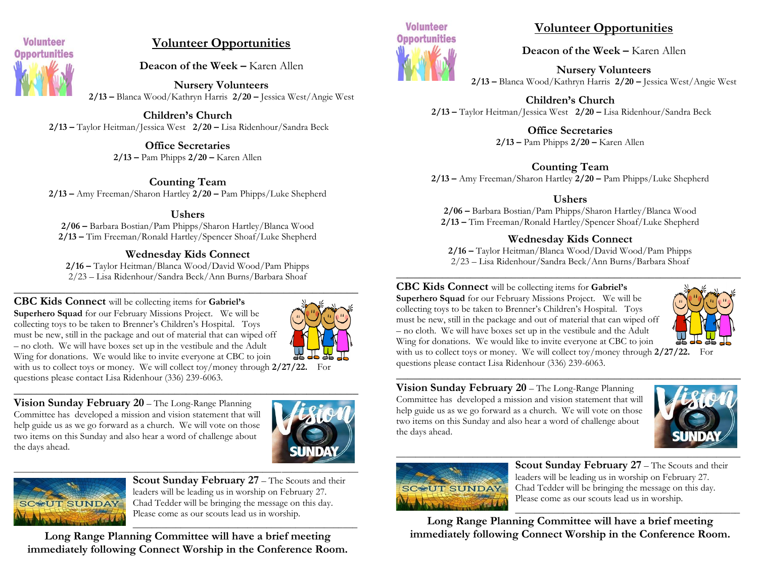

# **Volunteer Opportunities**

**Deacon of the Week –** Karen Allen

**Nursery Volunteers 2/13 –** Blanca Wood/Kathryn Harris **2/20 –** Jessica West/Angie West

**Children's Church 2/13 –** Taylor Heitman/Jessica West **2/20 –** Lisa Ridenhour/Sandra Beck

> **Office Secretaries 2/13 –** Pam Phipps **2/20 –** Karen Allen

**Counting Team 2/13 –** Amy Freeman/Sharon Hartley **2/20 –** Pam Phipps/Luke Shepherd

#### **Ushers**

**2/06 –** Barbara Bostian/Pam Phipps/Sharon Hartley/Blanca Wood **2/13 –** Tim Freeman/Ronald Hartley/Spencer Shoaf/Luke Shepherd

# **Wednesday Kids Connect**

**2/16 –** Taylor Heitman/Blanca Wood/David Wood/Pam Phipps 2/23 – Lisa Ridenhour/Sandra Beck/Ann Burns/Barbara Shoaf

#### **\_\_\_\_\_\_\_\_\_\_\_\_\_\_\_\_\_\_\_\_\_\_\_\_\_\_\_\_\_\_\_\_\_\_\_\_\_\_\_\_\_\_\_\_\_\_\_\_\_\_\_\_\_\_\_\_\_\_\_\_ CBC Kids Connect** will be collecting items for **Gabriel's**



**Superhero Squad** for our February Missions Project. We will be collecting toys to be taken to Brenner's Children's Hospital. Toys must be new, still in the package and out of material that can wiped off – no cloth. We will have boxes set up in the vestibule and the Adult Wing for donations. We would like to invite everyone at CBC to join with us to collect toys or money. We will collect toy/money through **2/27/22.** For questions please contact Lisa Ridenhour (336) 239-6063.

**Vision Sunday February 20** – The Long-Range Planning Committee has developed a mission and vision statement that will help guide us as we go forward as a church. We will vote on those two items on this Sunday and also hear a word of challenge about the days ahead.





**Scout Sunday February 27** – The Scouts and their leaders will be leading us in worship on February 27. Chad Tedder will be bringing the message on this day. Please come as our scouts lead us in worship.

\_\_\_\_\_\_\_\_\_\_\_\_\_\_\_\_\_\_\_\_\_\_\_\_\_\_\_\_\_\_\_\_\_\_\_\_\_\_\_\_\_\_\_\_\_\_\_ **Long Range Planning Committee will have a brief meeting immediately following Connect Worship in the Conference Room.**



# **Volunteer Opportunities**

**Deacon of the Week –** Karen Allen

**Nursery Volunteers 2/13 –** Blanca Wood/Kathryn Harris **2/20 –** Jessica West/Angie West

**Children's Church 2/13 –** Taylor Heitman/Jessica West **2/20 –** Lisa Ridenhour/Sandra Beck

> **Office Secretaries 2/13 –** Pam Phipps **2/20 –** Karen Allen

# **Counting Team**

**2/13 –** Amy Freeman/Sharon Hartley **2/20 –** Pam Phipps/Luke Shepherd

# **Ushers**

**2/06 –** Barbara Bostian/Pam Phipps/Sharon Hartley/Blanca Wood **2/13 –** Tim Freeman/Ronald Hartley/Spencer Shoaf/Luke Shepherd

## **Wednesday Kids Connect**

**2/16 –** Taylor Heitman/Blanca Wood/David Wood/Pam Phipps 2/23 – Lisa Ridenhour/Sandra Beck/Ann Burns/Barbara Shoaf **\_\_\_\_\_\_\_\_\_\_\_\_\_\_\_\_\_\_\_\_\_\_\_\_\_\_\_\_\_\_\_\_\_\_\_\_\_\_\_\_\_\_\_\_\_\_\_\_\_\_\_\_\_\_\_\_\_\_\_\_**

**CBC Kids Connect** will be collecting items for **Gabriel's Superhero Squad** for our February Missions Project. We will be

collecting toys to be taken to Brenner's Children's Hospital. Toys must be new, still in the package and out of material that can wiped off – no cloth. We will have boxes set up in the vestibule and the Adult Wing for donations. We would like to invite everyone at CBC to join



with us to collect toys or money. We will collect toy/money through **2/27/22.** For questions please contact Lisa Ridenhour (336) 239-6063.

**Vision Sunday February 20** – The Long-Range Planning Committee has developed a mission and vision statement that will help guide us as we go forward as a church. We will vote on those two items on this Sunday and also hear a word of challenge about the days ahead.





**Scout Sunday February 27** – The Scouts and their leaders will be leading us in worship on February 27. Chad Tedder will be bringing the message on this day. Please come as our scouts lead us in worship.

\_\_\_\_\_\_\_\_\_\_\_\_\_\_\_\_\_\_\_\_\_\_\_\_\_\_\_\_\_\_\_\_\_\_\_\_\_\_\_\_\_\_\_\_\_\_\_ **Long Range Planning Committee will have a brief meeting immediately following Connect Worship in the Conference Room.**